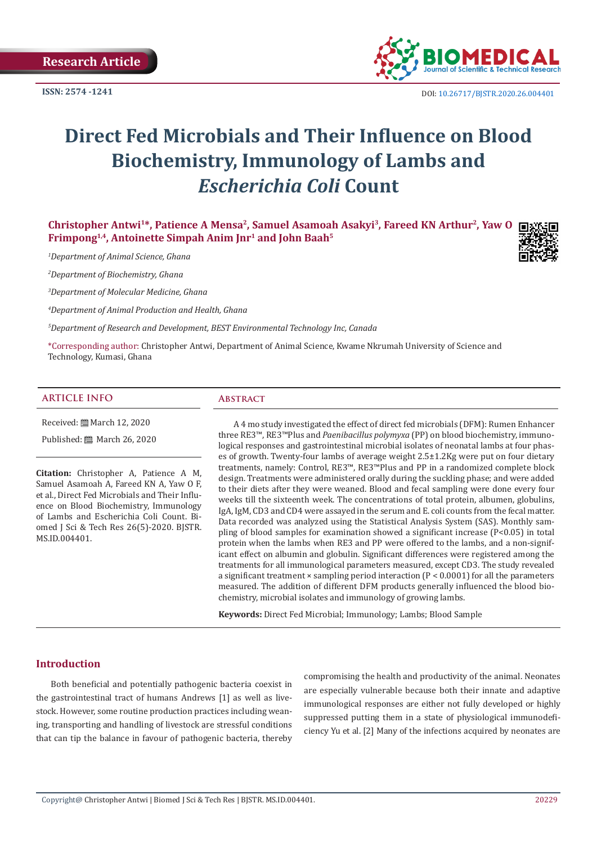

DOI: [10.26717/BJSTR.2020.26.004401](http://dx.doi.org/10.26717/BJSTR.2020.26.004401)

# **Direct Fed Microbials and Their Influence on Blood Biochemistry, Immunology of Lambs and**  *Escherichia Coli* **Count**

**Christopher Antwi1\*, Patience A Mensa<sup>2</sup>, Samuel Asamoah Asakyi<sup>3</sup>, Fareed KN Arthur<sup>2</sup>, Yaw O Frimpong1,4, Antoinette Simpah Anim Jnr<sup>1</sup> and John Baah<sup>5</sup>**

*1 Department of Animal Science, Ghana*

*2 Department of Biochemistry, Ghana*

*3 Department of Molecular Medicine, Ghana*

*4 Department of Animal Production and Health, Ghana*

*5 Department of Research and Development, BEST Environmental Technology Inc, Canada*

\*Corresponding author: Christopher Antwi, Department of Animal Science, Kwame Nkrumah University of Science and Technology, Kumasi, Ghana

#### **ARTICLE INFO Abstract**

Received: [ March 12, 2020

Published: [ March 26, 2020

**Citation:** Christopher A, Patience A M, Samuel Asamoah A, Fareed KN A, Yaw O F, et al., Direct Fed Microbials and Their Influence on Blood Biochemistry, Immunology of Lambs and Escherichia Coli Count. Biomed J Sci & Tech Res 26(5)-2020. BJSTR. MS.ID.004401.

A 4 mo study investigated the effect of direct fed microbials (DFM): Rumen Enhancer three RE3™, RE3™Plus and *Paenibacillus polymyxa* (PP) on blood biochemistry, immunological responses and gastrointestinal microbial isolates of neonatal lambs at four phases of growth. Twenty-four lambs of average weight 2.5±1.2Kg were put on four dietary treatments, namely: Control, RE3™, RE3™Plus and PP in a randomized complete block design. Treatments were administered orally during the suckling phase; and were added to their diets after they were weaned. Blood and fecal sampling were done every four weeks till the sixteenth week. The concentrations of total protein, albumen, globulins, IgA, IgM, CD3 and CD4 were assayed in the serum and E. coli counts from the fecal matter. Data recorded was analyzed using the Statistical Analysis System (SAS). Monthly sampling of blood samples for examination showed a significant increase (P<0.05) in total protein when the lambs when RE3 and PP were offered to the lambs, and a non-significant effect on albumin and globulin. Significant differences were registered among the treatments for all immunological parameters measured, except CD3. The study revealed a significant treatment  $\times$  sampling period interaction (P < 0.0001) for all the parameters measured. The addition of different DFM products generally influenced the blood biochemistry, microbial isolates and immunology of growing lambs.

**Keywords:** Direct Fed Microbial; Immunology; Lambs; Blood Sample

#### **Introduction**

Both beneficial and potentially pathogenic bacteria coexist in the gastrointestinal tract of humans Andrews [1] as well as livestock. However, some routine production practices including weaning, transporting and handling of livestock are stressful conditions that can tip the balance in favour of pathogenic bacteria, thereby

compromising the health and productivity of the animal. Neonates are especially vulnerable because both their innate and adaptive immunological responses are either not fully developed or highly suppressed putting them in a state of physiological immunodeficiency Yu et al. [2] Many of the infections acquired by neonates are

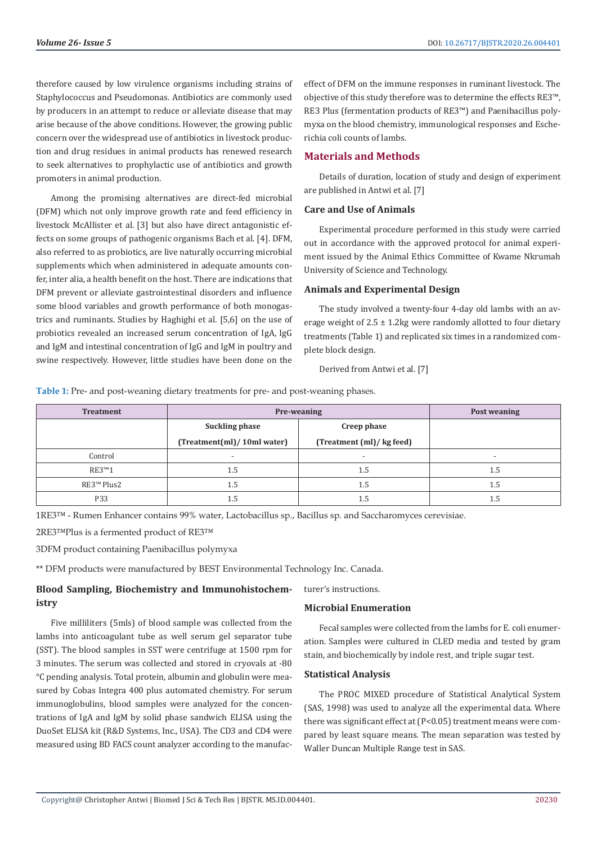therefore caused by low virulence organisms including strains of Staphylococcus and Pseudomonas. Antibiotics are commonly used by producers in an attempt to reduce or alleviate disease that may arise because of the above conditions. However, the growing public concern over the widespread use of antibiotics in livestock production and drug residues in animal products has renewed research to seek alternatives to prophylactic use of antibiotics and growth promoters in animal production.

Among the promising alternatives are direct-fed microbial (DFM) which not only improve growth rate and feed efficiency in livestock McAllister et al. [3] but also have direct antagonistic effects on some groups of pathogenic organisms Bach et al. [4]. DFM, also referred to as probiotics, are live naturally occurring microbial supplements which when administered in adequate amounts confer, inter alia, a health benefit on the host. There are indications that DFM prevent or alleviate gastrointestinal disorders and influence some blood variables and growth performance of both monogastrics and ruminants. Studies by Haghighi et al. [5,6] on the use of probiotics revealed an increased serum concentration of IgA, IgG and IgM and intestinal concentration of IgG and IgM in poultry and swine respectively. However, little studies have been done on the

effect of DFM on the immune responses in ruminant livestock. The objective of this study therefore was to determine the effects RE3™, RE3 Plus (fermentation products of RE3™) and Paenibacillus polymyxa on the blood chemistry, immunological responses and Escherichia coli counts of lambs.

## **Materials and Methods**

Details of duration, location of study and design of experiment are published in Antwi et al. [7]

# **Care and Use of Animals**

Experimental procedure performed in this study were carried out in accordance with the approved protocol for animal experiment issued by the Animal Ethics Committee of Kwame Nkrumah University of Science and Technology.

#### **Animals and Experimental Design**

The study involved a twenty-four 4-day old lambs with an average weight of  $2.5 \pm 1.2$ kg were randomly allotted to four dietary treatments (Table 1) and replicated six times in a randomized complete block design.

Derived from Antwi et al. [7]

**Table 1:** Pre- and post-weaning dietary treatments for pre- and post-weaning phases.

| <b>Treatment</b>       | Pre-weaning                | Post weaning              |                          |
|------------------------|----------------------------|---------------------------|--------------------------|
|                        | Suckling phase             | Creep phase               |                          |
|                        | (Treatment(ml)/10ml water) | (Treatment (ml)/ kg feed) |                          |
| Control                |                            |                           | $\overline{\phantom{0}}$ |
| RE3 <sup>TM</sup> 1    | $1.5\,$                    | 1.5                       | 1.5                      |
| RE3 <sup>™</sup> Plus2 | 1.5                        | 1.5                       | $1.5\,$                  |
| <b>P33</b>             | 1.5                        | 1.5                       | $1.5\,$                  |

1RE3™ - Rumen Enhancer contains 99% water, Lactobacillus sp., Bacillus sp. and Saccharomyces cerevisiae.

2RE3™Plus is a fermented product of RE3™

3DFM product containing Paenibacillus polymyxa

\*\* DFM products were manufactured by BEST Environmental Technology Inc. Canada.

# **Blood Sampling, Biochemistry and Immunohistochemistry**

Five milliliters (5mls) of blood sample was collected from the lambs into anticoagulant tube as well serum gel separator tube (SST). The blood samples in SST were centrifuge at 1500 rpm for 3 minutes. The serum was collected and stored in cryovals at -80 °C pending analysis. Total protein, albumin and globulin were measured by Cobas Integra 400 plus automated chemistry. For serum immunoglobulins, blood samples were analyzed for the concentrations of IgA and IgM by solid phase sandwich ELISA using the DuoSet ELISA kit (R&D Systems, Inc., USA). The CD3 and CD4 were measured using BD FACS count analyzer according to the manufacturer's instructions.

### **Microbial Enumeration**

Fecal samples were collected from the lambs for E. coli enumeration. Samples were cultured in CLED media and tested by gram stain, and biochemically by indole rest, and triple sugar test.

#### **Statistical Analysis**

The PROC MIXED procedure of Statistical Analytical System (SAS, 1998) was used to analyze all the experimental data. Where there was significant effect at (P<0.05) treatment means were compared by least square means. The mean separation was tested by Waller Duncan Multiple Range test in SAS.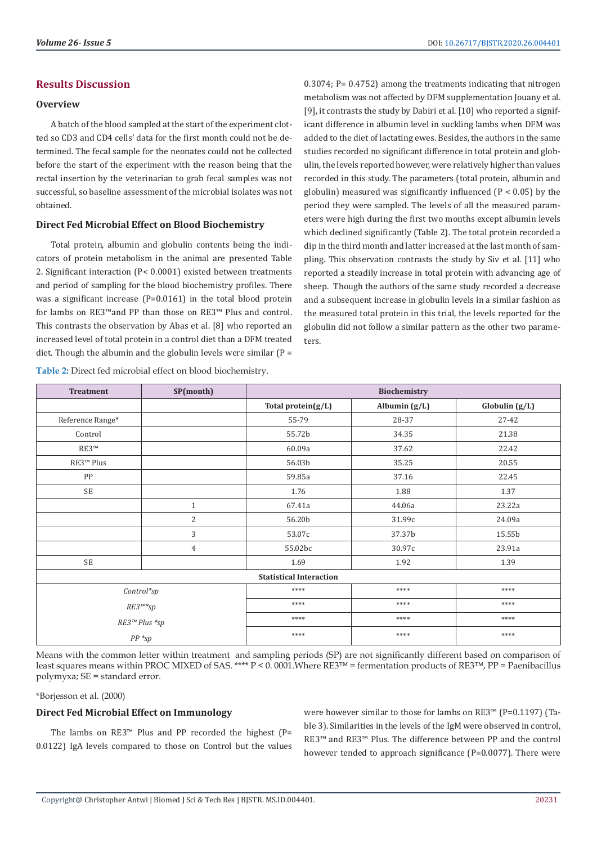#### **Results Discussion**

#### **Overview**

A batch of the blood sampled at the start of the experiment clotted so CD3 and CD4 cells' data for the first month could not be determined. The fecal sample for the neonates could not be collected before the start of the experiment with the reason being that the rectal insertion by the veterinarian to grab fecal samples was not successful, so baseline assessment of the microbial isolates was not obtained.

#### **Direct Fed Microbial Effect on Blood Biochemistry**

Total protein, albumin and globulin contents being the indicators of protein metabolism in the animal are presented Table 2. Significant interaction (P< 0.0001) existed between treatments and period of sampling for the blood biochemistry profiles. There was a significant increase (P=0.0161) in the total blood protein for lambs on RE3™and PP than those on RE3™ Plus and control. This contrasts the observation by Abas et al. [8] who reported an increased level of total protein in a control diet than a DFM treated diet. Though the albumin and the globulin levels were similar ( $P =$ 

0.3074; P= 0.4752) among the treatments indicating that nitrogen metabolism was not affected by DFM supplementation Jouany et al. [9], it contrasts the study by Dabiri et al. [10] who reported a significant difference in albumin level in suckling lambs when DFM was added to the diet of lactating ewes. Besides, the authors in the same studies recorded no significant difference in total protein and globulin, the levels reported however, were relatively higher than values recorded in this study. The parameters (total protein, albumin and globulin) measured was significantly influenced  $(P < 0.05)$  by the period they were sampled. The levels of all the measured parameters were high during the first two months except albumin levels which declined significantly (Table 2). The total protein recorded a dip in the third month and latter increased at the last month of sampling. This observation contrasts the study by Siv et al. [11] who reported a steadily increase in total protein with advancing age of sheep. Though the authors of the same study recorded a decrease and a subsequent increase in globulin levels in a similar fashion as the measured total protein in this trial, the levels reported for the globulin did not follow a similar pattern as the other two parameters.

| <b>Treatment</b>      | SP(month)    | Biochemistry                   |                 |                  |
|-----------------------|--------------|--------------------------------|-----------------|------------------|
|                       |              | Total protein $(g/L)$          | Albumin $(g/L)$ | Globulin $(g/L)$ |
| Reference Range*      |              | 55-79                          | 28-37           | $27 - 42$        |
| Control               |              | 55.72b                         | 34.35           | 21.38            |
| RE3™                  |              | 60.09a                         | 37.62           | 22.42            |
| RE3 <sup>™</sup> Plus |              | 56.03b                         | 35.25           | 20.55            |
| PP                    |              | 59.85a                         | 37.16           | 22.45            |
| <b>SE</b>             |              | 1.76                           | 1.88            | 1.37             |
|                       | $\mathbf{1}$ | 67.41a                         | 44.06a          | 23.22a           |
|                       | 2            | 56.20b                         | 31.99c          | 24.09a           |
|                       | 3            | 53.07c                         | 37.37b          | 15.55b           |
|                       | 4            | 55.02bc                        | 30.97c          | 23.91a           |
| <b>SE</b>             |              | 1.69                           | 1.92            | 1.39             |
|                       |              | <b>Statistical Interaction</b> |                 |                  |
| Control*sp            |              | ****                           | $****$          | $****$           |
| RE3™*sp               |              | ****                           | ****            | $****$           |
| RE3™ Plus *sp         |              | ****                           | ****            | $****$           |
| $PP * sp$             |              | ****                           | ****            | ****             |

**Table 2:** Direct fed microbial effect on blood biochemistry.

Means with the common letter within treatment and sampling periods (SP) are not significantly different based on comparison of least squares means within PROC MIXED of SAS. \*\*\*\*  $P < 0.0001$ . Where RE3<sup>™</sup> = fermentation products of RE3™, PP = Paenibacillus polymyxa; SE = standard error.

\*Borjesson et al. (2000)

#### **Direct Fed Microbial Effect on Immunology**

The lambs on RE3™ Plus and PP recorded the highest  $(P=$ 0.0122) IgA levels compared to those on Control but the values were however similar to those for lambs on RE3™ (P=0.1197) (Table 3). Similarities in the levels of the IgM were observed in control, RE3™ and RE3™ Plus. The difference between PP and the control however tended to approach significance (P=0.0077). There were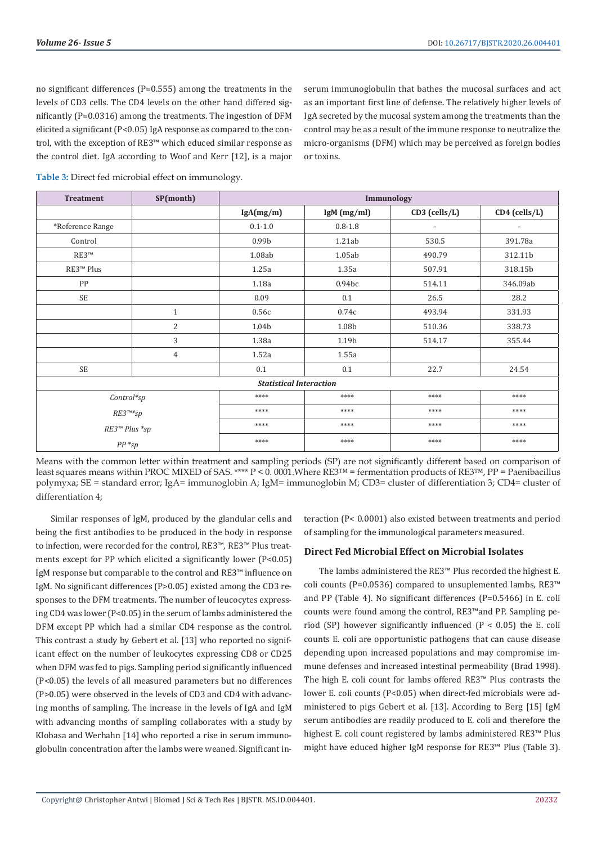no significant differences (P=0.555) among the treatments in the levels of CD3 cells. The CD4 levels on the other hand differed significantly (P=0.0316) among the treatments. The ingestion of DFM elicited a significant (P<0.05) IgA response as compared to the control, with the exception of RE3™ which educed similar response as the control diet. IgA according to Woof and Kerr [12], is a major serum immunoglobulin that bathes the mucosal surfaces and act as an important first line of defense. The relatively higher levels of IgA secreted by the mucosal system among the treatments than the control may be as a result of the immune response to neutralize the micro-organisms (DFM) which may be perceived as foreign bodies or toxins.

**Table 3:** Direct fed microbial effect on immunology.

| <b>Treatment</b>               | SP(month)    | Immunology        |                    |                          |               |  |
|--------------------------------|--------------|-------------------|--------------------|--------------------------|---------------|--|
|                                |              | lgA(mg/m)         | IgM (mg/ml)        | $CD3$ (cells/L)          | CD4 (cells/L) |  |
| *Reference Range               |              | $0.1 - 1.0$       | $0.8 - 1.8$        | $\overline{\phantom{a}}$ |               |  |
| Control                        |              | 0.99 <sub>b</sub> | 1.21ab             | 530.5                    | 391.78a       |  |
| RE3™                           |              | 1.08ab            | 1.05ab             | 490.79                   | 312.11b       |  |
| RE3 <sup>™</sup> Plus          |              | 1.25a             | 1.35a              | 507.91                   | 318.15b       |  |
| PP                             |              | 1.18a             | 0.94 <sub>bc</sub> | 514.11                   | 346.09ab      |  |
| <b>SE</b>                      |              | 0.09              | 0.1                | 26.5                     | 28.2          |  |
|                                | $\mathbf{1}$ | 0.56c             | 0.74c              | 493.94                   | 331.93        |  |
|                                | 2            | 1.04b             | 1.08b              | 510.36                   | 338.73        |  |
|                                | 3            | 1.38a             | 1.19b              | 514.17                   | 355.44        |  |
|                                | 4            | 1.52a             | 1.55a              |                          |               |  |
| <b>SE</b>                      |              | 0.1               | 0.1                | 22.7                     | 24.54         |  |
| <b>Statistical Interaction</b> |              |                   |                    |                          |               |  |
| Control*sp                     |              | ****              | ****               | ****                     | ****          |  |
| RE3™*sp                        |              | ****              | ****               | ****                     | ****          |  |
| RE3™ Plus *sp                  |              | ****              | ****               | ****                     | ****          |  |
| $PP * sp$                      |              | ****              | ****               | ****                     | ****          |  |

Means with the common letter within treatment and sampling periods (SP) are not significantly different based on comparison of least squares means within PROC MIXED of SAS. \*\*\*\*  $P < 0.0001$ . Where RE3<sup>™</sup> = fermentation products of RE3™, PP = Paenibacillus polymyxa; SE = standard error; IgA= immunoglobin A; IgM= immunoglobin M; CD3= cluster of differentiation 3; CD4= cluster of differentiation 4;

Similar responses of IgM, produced by the glandular cells and being the first antibodies to be produced in the body in response to infection, were recorded for the control, RE3™, RE3™ Plus treatments except for PP which elicited a significantly lower (P<0.05) IgM response but comparable to the control and RE3™ influence on IgM. No significant differences (P>0.05) existed among the CD3 responses to the DFM treatments. The number of leucocytes expressing CD4 was lower (P<0.05) in the serum of lambs administered the DFM except PP which had a similar CD4 response as the control. This contrast a study by Gebert et al. [13] who reported no significant effect on the number of leukocytes expressing CD8 or CD25 when DFM was fed to pigs. Sampling period significantly influenced (P<0.05) the levels of all measured parameters but no differences (P>0.05) were observed in the levels of CD3 and CD4 with advancing months of sampling. The increase in the levels of IgA and IgM with advancing months of sampling collaborates with a study by Klobasa and Werhahn [14] who reported a rise in serum immunoglobulin concentration after the lambs were weaned. Significant interaction (P< 0.0001) also existed between treatments and period of sampling for the immunological parameters measured.

# **Direct Fed Microbial Effect on Microbial Isolates**

The lambs administered the RE3™ Plus recorded the highest E. coli counts (P=0.0536) compared to unsuplemented lambs, RE3™ and PP (Table 4). No significant differences (P=0.5466) in E. coli counts were found among the control, RE3™and PP. Sampling period (SP) however significantly influenced (P < 0.05) the E. coli counts E. coli are opportunistic pathogens that can cause disease depending upon increased populations and may compromise immune defenses and increased intestinal permeability (Brad 1998). The high E. coli count for lambs offered RE3™ Plus contrasts the lower E. coli counts (P<0.05) when direct-fed microbials were administered to pigs Gebert et al. [13]. According to Berg [15] IgM serum antibodies are readily produced to E. coli and therefore the highest E. coli count registered by lambs administered RE3™ Plus might have educed higher IgM response for RE3™ Plus (Table 3).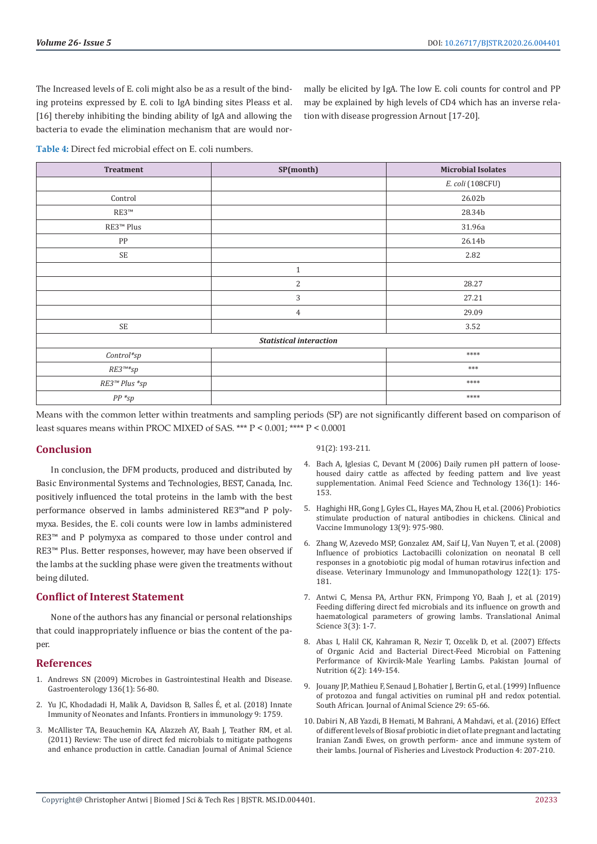The Increased levels of E. coli might also be as a result of the binding proteins expressed by E. coli to IgA binding sites Pleass et al. [16] thereby inhibiting the binding ability of IgA and allowing the bacteria to evade the elimination mechanism that are would normally be elicited by IgA. The low E. coli counts for control and PP may be explained by high levels of CD4 which has an inverse relation with disease progression Arnout [17-20].

**Table 4:** Direct fed microbial effect on E. coli numbers.

| <b>Treatment</b>                              | SP(month)      | <b>Microbial Isolates</b> |  |  |
|-----------------------------------------------|----------------|---------------------------|--|--|
|                                               |                | E. coli (108CFU)          |  |  |
| Control                                       |                | 26.02b                    |  |  |
| RE3 <sup>TM</sup>                             |                | 28.34b                    |  |  |
| RE3 <sup>™</sup> Plus                         |                | 31.96a                    |  |  |
| PP                                            |                | 26.14b                    |  |  |
| $\ensuremath{\mathsf{SE}}$                    |                | 2.82                      |  |  |
|                                               | $\mathbf{1}$   |                           |  |  |
|                                               | 2              | 28.27                     |  |  |
|                                               | 3              | 27.21                     |  |  |
|                                               | $\overline{4}$ | 29.09                     |  |  |
| SE                                            |                | 3.52                      |  |  |
| <b>Statistical interaction</b>                |                |                           |  |  |
| $Control*sp$                                  |                | $****$                    |  |  |
| $\mathit{RE3}^{\pi\!\ast\!\ast}\!\mathit{sp}$ |                | $***$                     |  |  |
| RE3™ Plus *sp                                 |                | ****                      |  |  |
| $PP * sp$                                     |                | ****                      |  |  |

Means with the common letter within treatments and sampling periods (SP) are not significantly different based on comparison of least squares means within PROC MIXED of SAS. \*\*\* P < 0.001; \*\*\*\* P < 0.0001

#### **Conclusion**

In conclusion, the DFM products, produced and distributed by Basic Environmental Systems and Technologies, BEST, Canada, Inc. positively influenced the total proteins in the lamb with the best performance observed in lambs administered RE3™and P polymyxa. Besides, the E. coli counts were low in lambs administered RE3™ and P polymyxa as compared to those under control and RE3™ Plus. Better responses, however, may have been observed if the lambs at the suckling phase were given the treatments without being diluted.

### **Conflict of Interest Statement**

None of the authors has any financial or personal relationships that could inappropriately influence or bias the content of the paner

#### **References**

- 1. [Andrews SN \(2009\) Microbes in Gastrointestinal Health and Disease.](https://www.ncbi.nlm.nih.gov/pubmed/19026645)  [Gastroenterology 136\(1\): 56-80.](https://www.ncbi.nlm.nih.gov/pubmed/19026645)
- 2. [Yu JC, Khodadadi H, Malik A, Davidson B, Salles É, et al. \(2018\) Innate](https://www.ncbi.nlm.nih.gov/pubmed/30105028)  [Immunity of Neonates and Infants. Frontiers in immunology 9: 1759.](https://www.ncbi.nlm.nih.gov/pubmed/30105028)
- 3. McAllister TA, Beauchemin KA, Alazzeh AY, Baah J, Teather RM, et al. (2011) Review: The use of direct fed microbials to mitigate pathogens and enhance production in cattle. Canadian Journal of Animal Science

91(2): 193-211.

- 4. [Bach A, Iglesias C, Devant M \(2006\) Daily rumen pH pattern of loose](https://www.sciencedirect.com/science/article/pii/S0377840106003841)[housed dairy cattle as affected by feeding pattern and live yeast](https://www.sciencedirect.com/science/article/pii/S0377840106003841) [supplementation. Animal Feed Science and Technology 136\(1\): 146-](https://www.sciencedirect.com/science/article/pii/S0377840106003841) [153.](https://www.sciencedirect.com/science/article/pii/S0377840106003841)
- 5. [Haghighi HR, Gong J, Gyles CL, Hayes MA, Zhou H, et al. \(2006\) Probiotics](https://www.ncbi.nlm.nih.gov/pubmed/16960107) [stimulate production of natural antibodies in chickens. Clinical and](https://www.ncbi.nlm.nih.gov/pubmed/16960107) [Vaccine Immunology 13\(9\): 975-980.](https://www.ncbi.nlm.nih.gov/pubmed/16960107)
- 6. [Zhang W, Azevedo MSP, Gonzalez AM, Saif LJ, Van Nuyen T, et al. \(2008\)](https://www.ncbi.nlm.nih.gov/pubmed/18023882) [Influence of probiotics Lactobacilli colonization on neonatal B cell](https://www.ncbi.nlm.nih.gov/pubmed/18023882) [responses in a gnotobiotic pig modal of human rotavirus infection and](https://www.ncbi.nlm.nih.gov/pubmed/18023882) [disease. Veterinary Immunology and Immunopathology 122\(1\): 175-](https://www.ncbi.nlm.nih.gov/pubmed/18023882) [181.](https://www.ncbi.nlm.nih.gov/pubmed/18023882)
- 7. [Antwi C, Mensa PA, Arthur FKN, Frimpong YO, Baah J, et al. \(2019\)](https://academic.oup.com/tas/article/3/4/1112/5520684) [Feeding differing direct fed microbials and its influence on growth and](https://academic.oup.com/tas/article/3/4/1112/5520684) [haematological parameters of growing lambs. Translational Animal](https://academic.oup.com/tas/article/3/4/1112/5520684) [Science 3\(3\): 1-7.](https://academic.oup.com/tas/article/3/4/1112/5520684)
- 8. [Abas I, Halil CK, Kahraman R, Nezir T, Ozcelik D, et al. \(2007\) Effects](https://www.researchgate.net/publication/26563532_Effects_of_Organic_Acid_and_Bacterial_Direct-Feed_Microbial_on_Fattening_Performance_of_Kivircik-Male_Yearling_Lambs) [of Organic Acid and Bacterial Direct-Feed Microbial on Fattening](https://www.researchgate.net/publication/26563532_Effects_of_Organic_Acid_and_Bacterial_Direct-Feed_Microbial_on_Fattening_Performance_of_Kivircik-Male_Yearling_Lambs) [Performance of Kivircik-Male Yearling Lambs. Pakistan Journal of](https://www.researchgate.net/publication/26563532_Effects_of_Organic_Acid_and_Bacterial_Direct-Feed_Microbial_on_Fattening_Performance_of_Kivircik-Male_Yearling_Lambs) [Nutrition 6\(2\): 149-154.](https://www.researchgate.net/publication/26563532_Effects_of_Organic_Acid_and_Bacterial_Direct-Feed_Microbial_on_Fattening_Performance_of_Kivircik-Male_Yearling_Lambs)
- 9. Jouany JP, Mathieu F, Senaud J, Bohatier J, Bertin G, et al. (1999) Influence of protozoa and fungal activities on ruminal pH and redox potential. South African. Journal of Animal Science 29: 65-66.
- 10. [Dabiri N, AB Yazdi, B Hemati, M Bahrani, A Mahdavi, et al. \(2016\) Effect](https://www.omicsonline.org/open-access/effect-of-different-levels-of-biosaf-probiotic-in-diet-of-late-pregnantand-lactating-iranian-zandi-ewes-on-growth-performance-and-2332-2608-1000207.php?aid=83601) [of different levels of Biosaf probiotic in diet of late pregnant and lactating](https://www.omicsonline.org/open-access/effect-of-different-levels-of-biosaf-probiotic-in-diet-of-late-pregnantand-lactating-iranian-zandi-ewes-on-growth-performance-and-2332-2608-1000207.php?aid=83601) [Iranian Zandi Ewes, on growth perform- ance and immune system of](https://www.omicsonline.org/open-access/effect-of-different-levels-of-biosaf-probiotic-in-diet-of-late-pregnantand-lactating-iranian-zandi-ewes-on-growth-performance-and-2332-2608-1000207.php?aid=83601) [their lambs. Journal of Fisheries and Livestock Production 4: 207-210.](https://www.omicsonline.org/open-access/effect-of-different-levels-of-biosaf-probiotic-in-diet-of-late-pregnantand-lactating-iranian-zandi-ewes-on-growth-performance-and-2332-2608-1000207.php?aid=83601)